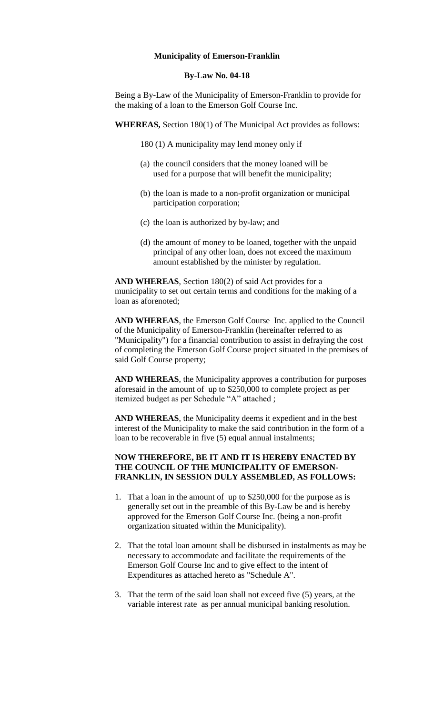### **Municipality of Emerson-Franklin**

#### **By-Law No. 04-18**

Being a By-Law of the Municipality of Emerson-Franklin to provide for the making of a loan to the Emerson Golf Course Inc.

**WHEREAS,** Section 180(1) of The Municipal Act provides as follows:

180 (1) A municipality may lend money only if

- (a) the council considers that the money loaned will be used for a purpose that will benefit the municipality;
- (b) the loan is made to a non-profit organization or municipal participation corporation;
- (c) the loan is authorized by by-law; and
- (d) the amount of money to be loaned, together with the unpaid principal of any other loan, does not exceed the maximum amount established by the minister by regulation.

**AND WHEREAS**, Section 180(2) of said Act provides for a municipality to set out certain terms and conditions for the making of a loan as aforenoted;

**AND WHEREAS**, the Emerson Golf Course Inc. applied to the Council of the Municipality of Emerson-Franklin (hereinafter referred to as "Municipality") for a financial contribution to assist in defraying the cost of completing the Emerson Golf Course project situated in the premises of said Golf Course property;

**AND WHEREAS**, the Municipality approves a contribution for purposes aforesaid in the amount of up to \$250,000 to complete project as per itemized budget as per Schedule "A" attached ;

**AND WHEREAS**, the Municipality deems it expedient and in the best interest of the Municipality to make the said contribution in the form of a loan to be recoverable in five (5) equal annual instalments;

# **NOW THEREFORE, BE IT AND IT IS HEREBY ENACTED BY THE COUNCIL OF THE MUNICIPALITY OF EMERSON-FRANKLIN, IN SESSION DULY ASSEMBLED, AS FOLLOWS:**

- 1. That a loan in the amount of up to \$250,000 for the purpose as is generally set out in the preamble of this By-Law be and is hereby approved for the Emerson Golf Course Inc. (being a non-profit organization situated within the Municipality).
- 2. That the total loan amount shall be disbursed in instalments as may be necessary to accommodate and facilitate the requirements of the Emerson Golf Course Inc and to give effect to the intent of Expenditures as attached hereto as "Schedule A".
- 3. That the term of the said loan shall not exceed five (5) years, at the variable interest rate as per annual municipal banking resolution.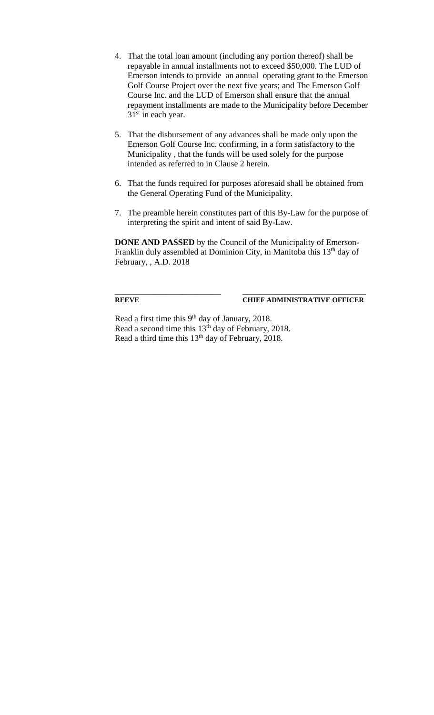- 4. That the total loan amount (including any portion thereof) shall be repayable in annual installments not to exceed \$50,000. The LUD of Emerson intends to provide an annual operating grant to the Emerson Golf Course Project over the next five years; and The Emerson Golf Course Inc. and the LUD of Emerson shall ensure that the annual repayment installments are made to the Municipality before December 31<sup>st</sup> in each year.
- 5. That the disbursement of any advances shall be made only upon the Emerson Golf Course Inc. confirming, in a form satisfactory to the Municipality , that the funds will be used solely for the purpose intended as referred to in Clause 2 herein.
- 6. That the funds required for purposes aforesaid shall be obtained from the General Operating Fund of the Municipality.
- 7. The preamble herein constitutes part of this By-Law for the purpose of interpreting the spirit and intent of said By-Law.

**DONE AND PASSED** by the Council of the Municipality of Emerson-Franklin duly assembled at Dominion City, in Manitoba this 13<sup>th</sup> day of February, , A.D. 2018

\_\_\_\_\_\_\_\_\_\_\_\_\_\_\_\_\_\_\_\_\_\_\_\_\_ \_\_\_\_\_\_\_\_\_\_\_\_\_\_\_\_\_\_\_\_\_\_\_\_\_\_\_\_\_

## **REEVE CHIEF ADMINISTRATIVE OFFICER**

Read a first time this 9<sup>th</sup> day of January, 2018. Read a second time this  $13<sup>th</sup>$  day of February, 2018. Read a third time this 13th day of February, 2018.